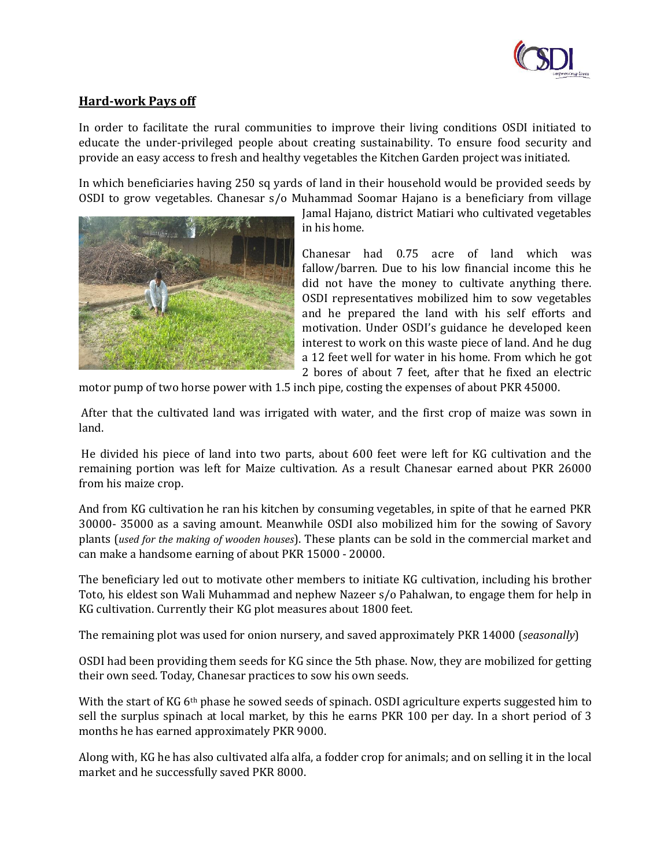

## **Hard-work Pays off**

In order to facilitate the rural communities to improve their living conditions OSDI initiated to educate the under-privileged people about creating sustainability. To ensure food security and provide an easy access to fresh and healthy vegetables the Kitchen Garden project was initiated.

In which beneficiaries having 250 sq yards of land in their household would be provided seeds by OSDI to grow vegetables. Chanesar s/o Muhammad Soomar Hajano is a beneficiary from village



Jamal Hajano, district Matiari who cultivated vegetables in his home.

Chanesar had 0.75 acre of land which was fallow/barren. Due to his low financial income this he did not have the money to cultivate anything there. OSDI representatives mobilized him to sow vegetables and he prepared the land with his self efforts and motivation. Under OSDI's guidance he developed keen interest to work on this waste piece of land. And he dug a 12 feet well for water in his home. From which he got 2 bores of about 7 feet, after that he fixed an electric

motor pump of two horse power with 1.5 inch pipe, costing the expenses of about PKR 45000.

After that the cultivated land was irrigated with water, and the first crop of maize was sown in land.

He divided his piece of land into two parts, about 600 feet were left for KG cultivation and the remaining portion was left for Maize cultivation. As a result Chanesar earned about PKR 26000 from his maize crop.

And from KG cultivation he ran his kitchen by consuming vegetables, in spite of that he earned PKR 30000- 35000 as a saving amount. Meanwhile OSDI also mobilized him for the sowing of Savory plants (*used for the making of wooden houses*). These plants can be sold in the commercial market and can make a handsome earning of about PKR 15000 - 20000.

The beneficiary led out to motivate other members to initiate KG cultivation, including his brother Toto, his eldest son Wali Muhammad and nephew Nazeer s/o Pahalwan, to engage them for help in KG cultivation. Currently their KG plot measures about 1800 feet.

The remaining plot was used for onion nursery, and saved approximately PKR 14000 (*seasonally*)

OSDI had been providing them seeds for KG since the 5th phase. Now, they are mobilized for getting their own seed. Today, Chanesar practices to sow his own seeds.

With the start of KG 6<sup>th</sup> phase he sowed seeds of spinach. OSDI agriculture experts suggested him to sell the surplus spinach at local market, by this he earns PKR 100 per day. In a short period of 3 months he has earned approximately PKR 9000.

Along with, KG he has also cultivated alfa alfa, a fodder crop for animals; and on selling it in the local market and he successfully saved PKR 8000.